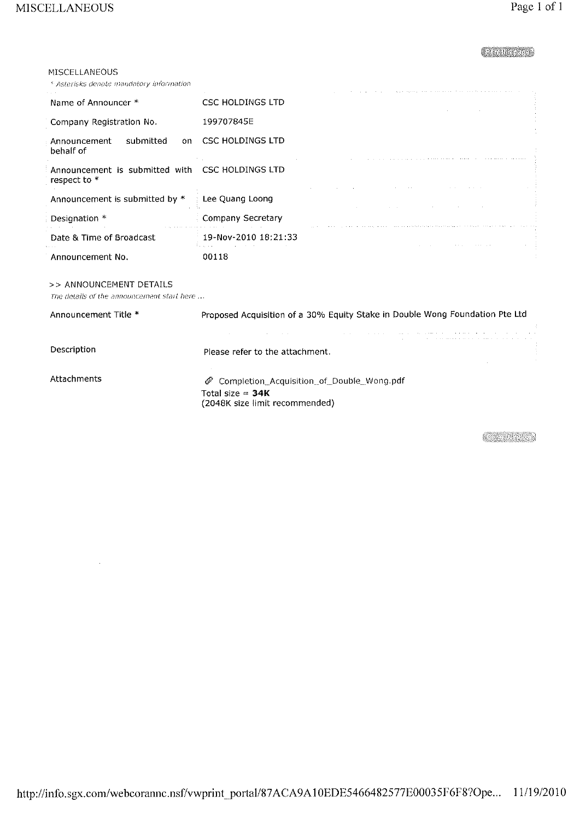## CHARGE CO

### MISCELLANEOUS

<sup>6</sup> Asterisks denote mandatory information

|                                                                 | A contract contract of the second contract of the contract of the second contract of the second contract of the |  |
|-----------------------------------------------------------------|-----------------------------------------------------------------------------------------------------------------|--|
| Name of Announcer *                                             | <b>CSC HOLDINGS LTD</b>                                                                                         |  |
| Company Registration No.                                        | 199707845E                                                                                                      |  |
| submitted<br>Announcement<br>on.<br>behalf of                   | <b>CSC HOLDINGS LTD</b>                                                                                         |  |
| Announcement is submitted with CSC HOLDINGS LTD<br>respect to * |                                                                                                                 |  |
| Announcement is submitted by *                                  | Lee Quang Loong                                                                                                 |  |
| Designation *                                                   | Company Secretary                                                                                               |  |
| Date & Time of Broadcast                                        | 19-Nov-2010 18:21:33                                                                                            |  |
| Announcement No.                                                | 00118                                                                                                           |  |

#### >> ANNOUNCEMENT DETAILS

The details of the announcement start here ...

| Announcement Title * | Proposed Acquisition of a 30% Equity Stake in Double Wong Foundation Pte Ltd                                                                                                                                                              |
|----------------------|-------------------------------------------------------------------------------------------------------------------------------------------------------------------------------------------------------------------------------------------|
|                      | the contract of the property of the contract of the contract of the contract of the contract of the contract of<br>and the control of the control of the con-<br>the contract contract to the contract of the contract of the contract of |
| Description          | Please refer to the attachment.                                                                                                                                                                                                           |
| Attachments          | if Completion_Acquisition_of_Double_Wong.pdf<br>Total size = $34K$<br>(2048K size limit recommended)                                                                                                                                      |

**CARD MODEL**